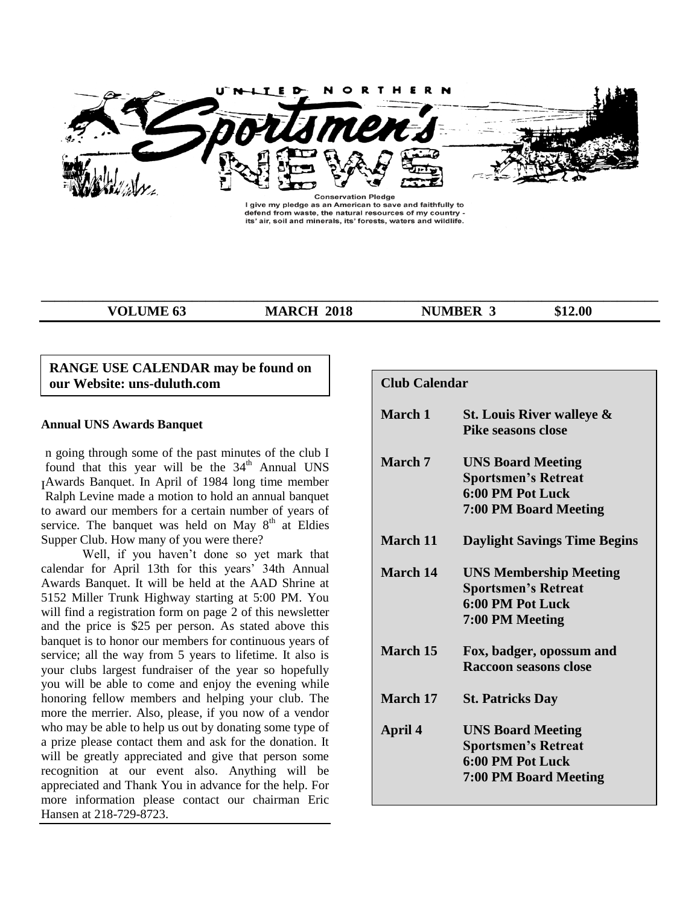

I give my pledge as an American to save and faithfully to defend from waste, the natural resources of my country its' air, soil and minerals, its' forests, waters and wildlife.

**\_\_\_\_\_\_\_\_\_\_\_\_\_\_\_\_\_\_\_\_\_\_\_\_\_\_\_\_\_\_\_\_\_\_\_\_\_\_\_\_\_\_\_\_\_\_\_\_\_\_\_\_\_\_\_\_\_\_\_\_\_\_\_\_\_\_\_\_\_\_\_\_\_\_\_\_\_\_\_\_\_\_\_\_\_\_\_\_\_\_**

**VOLUME 63 MARCH 2018 NUMBER 3** \$12.00

#### **RANGE USE CALENDAR may be found on our Website: uns-duluth.com**

#### **Annual UNS Awards Banquet**

n going through some of the past minutes of the club I found that this year will be the 34<sup>th</sup> Annual UNS Awards Banquet. In April of 1984 long time member I Ralph Levine made a motion to hold an annual banquet to award our members for a certain number of years of service. The banquet was held on May  $8<sup>th</sup>$  at Eldies Supper Club. How many of you were there?

Well, if you haven't done so yet mark that calendar for April 13th for this years' 34th Annual Awards Banquet. It will be held at the AAD Shrine at 5152 Miller Trunk Highway starting at 5:00 PM. You will find a registration form on page 2 of this newsletter and the price is \$25 per person. As stated above this banquet is to honor our members for continuous years of service; all the way from 5 years to lifetime. It also is your clubs largest fundraiser of the year so hopefully you will be able to come and enjoy the evening while honoring fellow members and helping your club. The more the merrier. Also, please, if you now of a vendor who may be able to help us out by donating some type of a prize please contact them and ask for the donation. It will be greatly appreciated and give that person some recognition at our event also. Anything will be appreciated and Thank You in advance for the help. For more information please contact our chairman Eric Hansen at 218-729-8723.

| Club Calendar  |                                                                                                            |
|----------------|------------------------------------------------------------------------------------------------------------|
| March 1        | St. Louis River walleye &<br><b>Pike seasons close</b>                                                     |
| <b>March</b> 7 | <b>UNS Board Meeting</b><br><b>Sportsmen's Retreat</b><br>6:00 PM Pot Luck<br><b>7:00 PM Board Meeting</b> |
| March 11       | <b>Daylight Savings Time Begins</b>                                                                        |
| March 14       | <b>UNS Membership Meeting</b><br><b>Sportsmen's Retreat</b><br>6:00 PM Pot Luck<br>7:00 PM Meeting         |
| March 15       | Fox, badger, opossum and<br><b>Raccoon seasons close</b>                                                   |
| March 17       | <b>St. Patricks Day</b>                                                                                    |
| April 4        | <b>UNS Board Meeting</b><br><b>Sportsmen's Retreat</b><br>6:00 PM Pot Luck<br><b>7:00 PM Board Meeting</b> |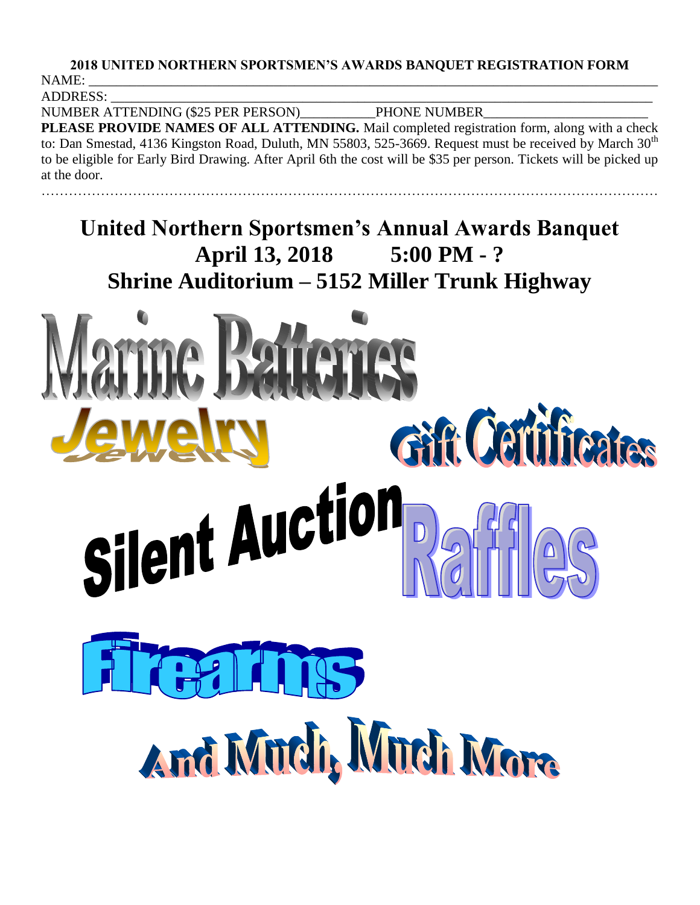## **2018 UNITED NORTHERN SPORTSMEN'S AWARDS BANQUET REGISTRATION FORM** NAME: \_\_\_\_\_\_\_\_\_\_\_\_\_\_\_\_\_\_\_\_\_\_\_\_\_\_\_\_\_\_\_\_\_\_\_\_\_\_\_\_\_\_\_\_\_\_\_\_\_\_\_\_\_\_\_\_\_\_\_\_\_\_\_\_\_\_\_\_\_\_\_\_\_\_\_\_\_\_\_\_\_\_\_

ADDRESS: \_\_\_\_\_\_\_\_\_\_\_\_\_\_\_\_\_\_\_\_\_\_\_\_\_\_\_\_\_\_\_\_\_\_\_\_\_\_\_\_\_\_\_\_\_\_\_\_\_\_\_\_\_\_\_\_\_\_\_\_\_\_\_\_\_\_\_\_\_\_\_\_\_\_\_\_\_\_\_

NUMBER ATTENDING (\$25 PER PERSON)\_\_\_\_\_\_\_\_\_\_\_PHONE NUMBER\_\_\_\_\_\_\_\_\_\_\_\_\_\_\_\_\_\_\_\_\_\_\_\_

**PLEASE PROVIDE NAMES OF ALL ATTENDING.** Mail completed registration form, along with a check to: Dan Smestad, 4136 Kingston Road, Duluth, MN 55803, 525-3669. Request must be received by March  $30<sup>th</sup>$ to be eligible for Early Bird Drawing. After April 6th the cost will be \$35 per person. Tickets will be picked up at the door.

………………………………………………………………………………………………………………………

**United Northern Sportsmen's Annual Awards Banquet April 13, 2018 5:00 PM - ? Shrine Auditorium – 5152 Miller Trunk Highway**

# Gift Certi icates Silent Auct And Much, Much More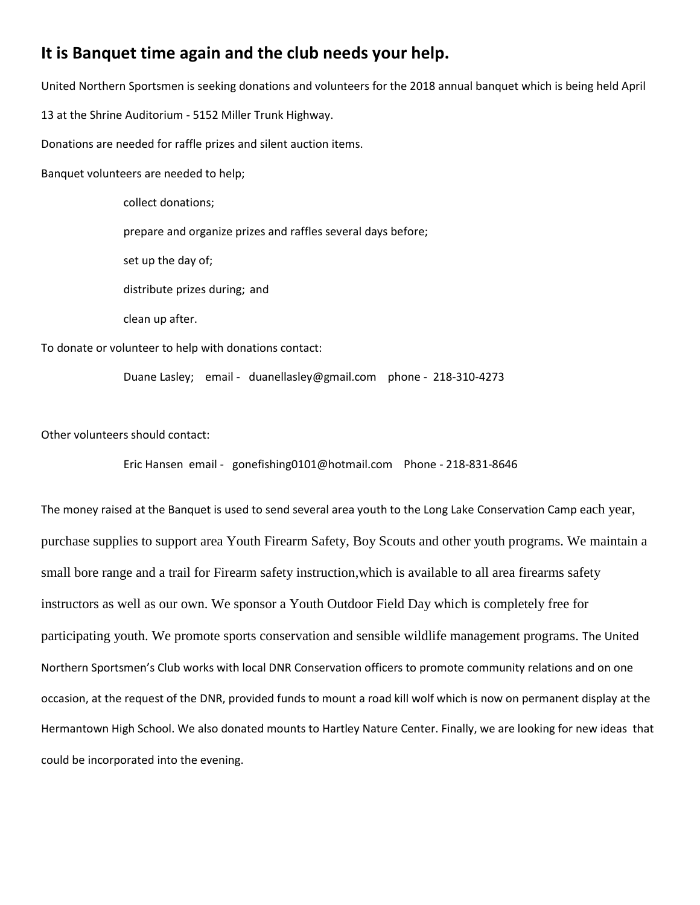# **It is Banquet time again and the club needs your help.**

United Northern Sportsmen is seeking donations and volunteers for the 2018 annual banquet which is being held April 13 at the Shrine Auditorium - 5152 Miller Trunk Highway. Donations are needed for raffle prizes and silent auction items. Banquet volunteers are needed to help;

> collect donations; prepare and organize prizes and raffles several days before; set up the day of; distribute prizes during; and clean up after.

To donate or volunteer to help with donations contact:

Duane Lasley; email - duanellasley@gmail.com phone - 218-310-4273

Other volunteers should contact:

Eric Hansen email - gonefishing0101@hotmail.com Phone - 218-831-8646

The money raised at the Banquet is used to send several area youth to the Long Lake Conservation Camp each year, purchase supplies to support area Youth Firearm Safety, Boy Scouts and other youth programs. We maintain a small bore range and a trail for Firearm safety instruction,which is available to all area firearms safety instructors as well as our own. We sponsor a Youth Outdoor Field Day which is completely free for participating youth. We promote sports conservation and sensible wildlife management programs. The United Northern Sportsmen's Club works with local DNR Conservation officers to promote community relations and on one occasion, at the request of the DNR, provided funds to mount a road kill wolf which is now on permanent display at the Hermantown High School. We also donated mounts to Hartley Nature Center. Finally, we are looking for new ideas that could be incorporated into the evening.